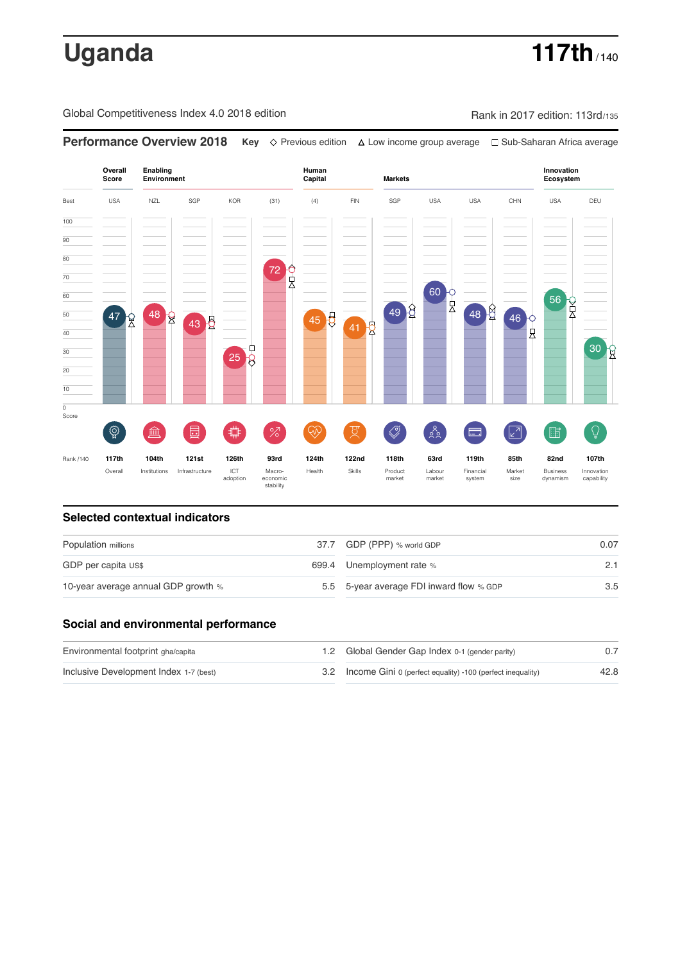# **Uganda 117th** / 140

Global Competitiveness Index 4.0 2018 edition Rank in 2017 edition: 113rd/135



### **Selected contextual indicators**

| Population millions                 |  | 37.7 GDP (PPP) % world GDP               |     |
|-------------------------------------|--|------------------------------------------|-----|
| GDP per capita US\$                 |  | 699.4 Unemployment rate %                | 2.1 |
| 10-year average annual GDP growth % |  | 5.5 5-year average FDI inward flow % GDP | 3.5 |

### **Social and environmental performance**

| Environmental footprint gha/capita     |  | 1.2 Global Gender Gap Index 0-1 (gender parity)                |      |
|----------------------------------------|--|----------------------------------------------------------------|------|
| Inclusive Development Index 1-7 (best) |  | 3.2 Income Gini 0 (perfect equality) -100 (perfect inequality) | 42.8 |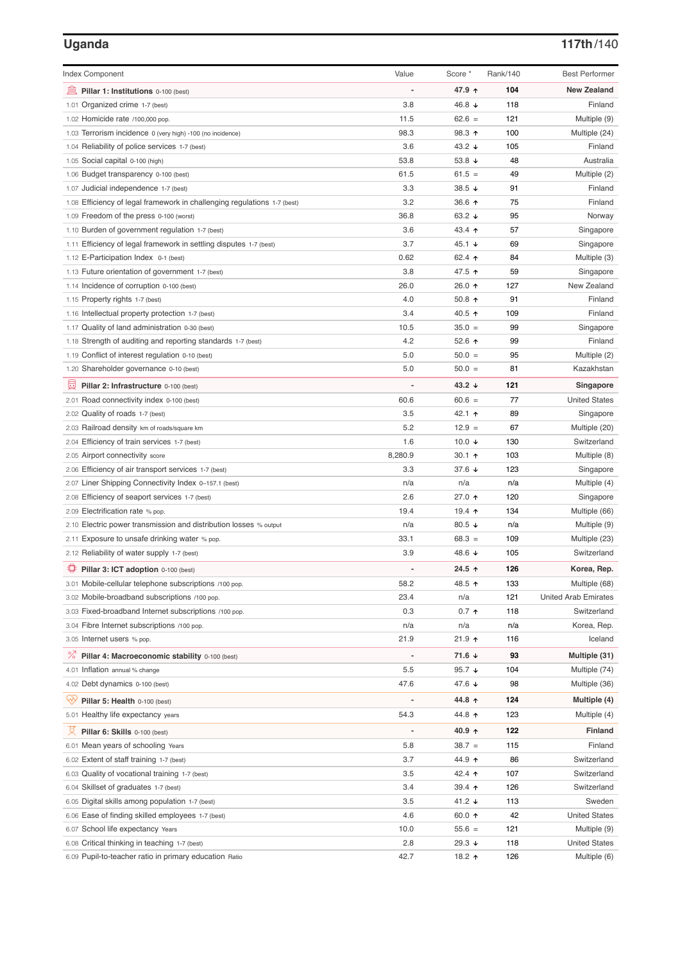# **Uganda 117th**/140

| <b>Index Component</b>                                                   | Value          | Score *           | Rank/140 | <b>Best Performer</b>       |
|--------------------------------------------------------------------------|----------------|-------------------|----------|-----------------------------|
| 寙<br>Pillar 1: Institutions 0-100 (best)                                 |                | 47.9 ↑            | 104      | <b>New Zealand</b>          |
| 1.01 Organized crime 1-7 (best)                                          | 3.8            | 46.8 ↓            | 118      | Finland                     |
| 1.02 Homicide rate /100,000 pop.                                         | 11.5           | $62.6 =$          | 121      | Multiple (9)                |
| 1.03 Terrorism incidence 0 (very high) -100 (no incidence)               | 98.3           | 98.3 ↑            | 100      | Multiple (24)               |
| 1.04 Reliability of police services 1-7 (best)                           | 3.6            | 43.2 ↓            | 105      | Finland                     |
| 1.05 Social capital 0-100 (high)                                         | 53.8           | 53.8 $\sqrt{ }$   | 48       | Australia                   |
| 1.06 Budget transparency 0-100 (best)                                    | 61.5           | $61.5 =$          | 49       | Multiple (2)                |
| 1.07 Judicial independence 1-7 (best)                                    | 3.3            | 38.5 ↓            | 91       | Finland                     |
| 1.08 Efficiency of legal framework in challenging regulations 1-7 (best) | 3.2            | 36.6 个            | 75       | Finland                     |
| 1.09 Freedom of the press 0-100 (worst)                                  | 36.8           | 63.2 $\sqrt{ }$   | 95       | Norway                      |
| 1.10 Burden of government regulation 1-7 (best)                          | 3.6            | 43.4 ↑            | 57       | Singapore                   |
| 1.11 Efficiency of legal framework in settling disputes 1-7 (best)       | 3.7            | 45.1 ↓            | 69       | Singapore                   |
| 1.12 E-Participation Index 0-1 (best)                                    | 0.62           | 62.4 ↑            | 84       | Multiple (3)                |
| 1.13 Future orientation of government 1-7 (best)                         | 3.8            | 47.5 ↑            | 59       | Singapore                   |
| 1.14 Incidence of corruption 0-100 (best)                                | 26.0           | 26.0 ተ            | 127      | New Zealand                 |
| 1.15 Property rights 1-7 (best)                                          | 4.0            | $50.8$ ↑          | 91       | Finland                     |
| 1.16 Intellectual property protection 1-7 (best)                         | 3.4            | 40.5 ↑            | 109      | Finland                     |
| 1.17 Quality of land administration 0-30 (best)                          | 10.5           | $35.0 =$          | 99       | Singapore                   |
| 1.18 Strength of auditing and reporting standards 1-7 (best)             | 4.2            | 52.6 个            | 99       | Finland                     |
| 1.19 Conflict of interest regulation 0-10 (best)                         | 5.0            | $50.0 =$          | 95       | Multiple (2)                |
| 1.20 Shareholder governance 0-10 (best)                                  | 5.0            | $50.0 =$          | 81       | Kazakhstan                  |
| 員<br>Pillar 2: Infrastructure 0-100 (best)                               |                | 43.2 ↓            | 121      | Singapore                   |
| 2.01 Road connectivity index 0-100 (best)                                | 60.6           | $60.6 =$          | 77       | <b>United States</b>        |
| 2.02 Quality of roads 1-7 (best)                                         | 3.5            | 42.1 ተ            | 89       | Singapore                   |
| 2.03 Railroad density km of roads/square km                              | 5.2            | $12.9 =$          | 67       | Multiple (20)               |
| 2.04 Efficiency of train services 1-7 (best)                             | 1.6            | 10.0 $\sqrt{ }$   | 130      | Switzerland                 |
| 2.05 Airport connectivity score                                          | 8,280.9        | 30.1 ↑            | 103      | Multiple (8)                |
| 2.06 Efficiency of air transport services 1-7 (best)                     | 3.3            | 37.6 ↓            | 123      | Singapore                   |
| 2.07 Liner Shipping Connectivity Index 0-157.1 (best)                    | n/a            | n/a               | n/a      | Multiple (4)                |
| 2.08 Efficiency of seaport services 1-7 (best)                           | 2.6            | 27.0 ↑            | 120      | Singapore                   |
| 2.09 Electrification rate % pop.                                         | 19.4           | 19.4 ተ            | 134      | Multiple (66)               |
| 2.10 Electric power transmission and distribution losses % output        | n/a            | 80.5 $\sqrt{ }$   | n/a      | Multiple (9)                |
| 2.11 Exposure to unsafe drinking water % pop.                            | 33.1           | $68.3 =$          | 109      | Multiple (23)               |
| 2.12 Reliability of water supply 1-7 (best)                              | 3.9            | 48.6 ↓            | 105      | Switzerland                 |
| O<br>Pillar 3: ICT adoption 0-100 (best)                                 |                | 24.5 ↑            | 126      | Korea, Rep.                 |
| 3.01 Mobile-cellular telephone subscriptions /100 pop.                   | 58.2           | 48.5 ↑            | 133      | Multiple (68)               |
| 3.02 Mobile-broadband subscriptions /100 pop.                            | 23.4           | n/a               | 121      | <b>United Arab Emirates</b> |
| 3.03 Fixed-broadband Internet subscriptions /100 pop.                    | 0.3            | $0.7 \; \text{A}$ | 118      | Switzerland                 |
| 3.04 Fibre Internet subscriptions /100 pop.                              | n/a            | n/a               | n/a      | Korea, Rep.                 |
| 3.05 Internet users % pop.                                               | 21.9           | 21.9 ተ            | 116      | Iceland                     |
| ℅<br>Pillar 4: Macroeconomic stability 0-100 (best)                      | $\overline{a}$ | 71.6 ↓            | 93       | Multiple (31)               |
| 4.01 Inflation annual % change                                           | 5.5            | 95.7 $\sqrt{ }$   | 104      | Multiple (74)               |
| 4.02 Debt dynamics 0-100 (best)                                          | 47.6           | 47.6 ↓            | 98       | Multiple (36)               |
| Qv<br>Pillar 5: Health 0-100 (best)                                      | ÷              | 44.8 ↑            | 124      | Multiple (4)                |
| 5.01 Healthy life expectancy years                                       | 54.3           | 44.8 ↑            | 123      | Multiple (4)                |
| 섯<br>Pillar 6: Skills 0-100 (best)                                       | $\overline{a}$ | 40.9 ↑            | 122      | Finland                     |
| 6.01 Mean years of schooling Years                                       | 5.8            | $38.7 =$          | 115      | Finland                     |
| 6.02 Extent of staff training 1-7 (best)                                 | 3.7            | 44.9 ↑            | 86       | Switzerland                 |
| 6.03 Quality of vocational training 1-7 (best)                           | 3.5            | 42.4 ተ            | 107      | Switzerland                 |
| 6.04 Skillset of graduates 1-7 (best)                                    | 3.4            | 39.4 ↑            | 126      | Switzerland                 |
| 6.05 Digital skills among population 1-7 (best)                          | 3.5            | 41.2 ↓            | 113      | Sweden                      |
| 6.06 Ease of finding skilled employees 1-7 (best)                        | 4.6            | 60.0 ↑            | 42       | <b>United States</b>        |
| 6.07 School life expectancy Years                                        | 10.0           | $55.6 =$          | 121      | Multiple (9)                |
| 6.08 Critical thinking in teaching 1-7 (best)                            | 2.8            | 29.3 ↓            | 118      | <b>United States</b>        |
| 6.09 Pupil-to-teacher ratio in primary education Ratio                   | 42.7           | 18.2 ተ            | 126      | Multiple (6)                |